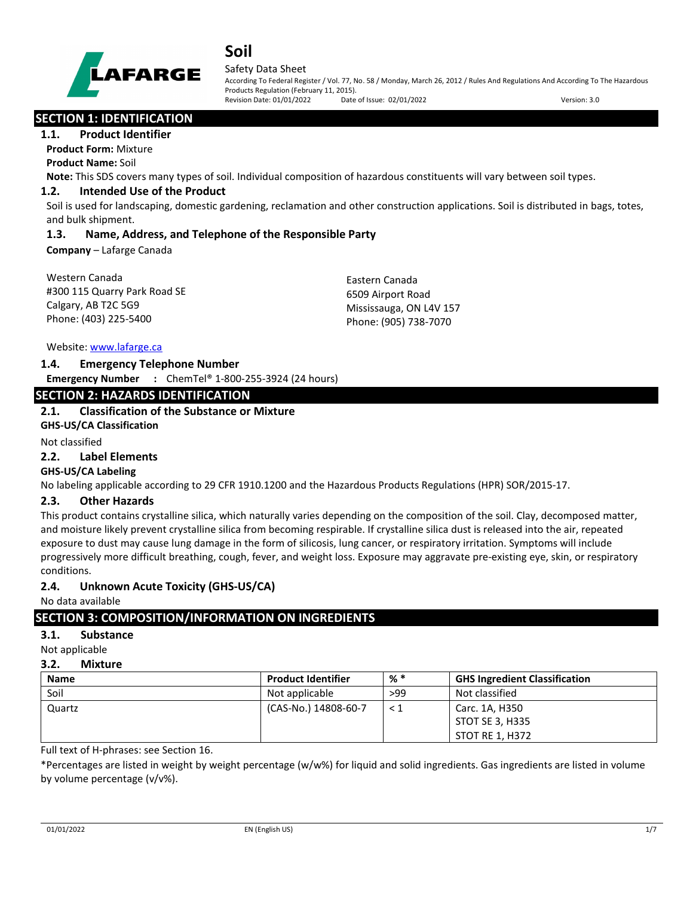

#### Safety Data Sheet

According To Federal Register / Vol. 77, No. 58 / Monday, March 26, 2012 / Rules And Regulations And According To The Hazardous Products Regulation (February 11, 2015). Revision Date: 01/01/2022 Date of Issue: 02/01/2022 Version: 3.0

## **SECTION 1: IDENTIFICATION**

#### **1.1. Product Identifier**

**Product Form:** Mixture **Product Name:** Soil

**Note:** This SDS covers many types of soil. Individual composition of hazardous constituents will vary between soil types.

#### **1.2. Intended Use of the Product**

Soil is used for landscaping, domestic gardening, reclamation and other construction applications. Soil is distributed in bags, totes, and bulk shipment.

#### **1.3. Name, Address, and Telephone of the Responsible Party**

**Company** – Lafarge Canada

| Eastern Canada          |
|-------------------------|
| 6509 Airport Road       |
| Mississauga, ON L4V 157 |
| Phone: (905) 738-7070   |
|                         |

Website: [www.lafarge.ca](file://leon/customers/CUSTOMERS/Lafarge_North_America_Inc/Projects/Authoring_20180316/Batch_Folder/B_Draft_SDS/MS_Word_Files/www.lafarge.ca)

#### **1.4. Emergency Telephone Number**

**Emergency Number :** ChemTel® 1-800-255-3924 (24 hours)

## **SECTION 2: HAZARDS IDENTIFICATION**

#### **2.1. Classification of the Substance or Mixture**

**GHS-US/CA Classification**

## Not classified

## **2.2. Label Elements**

#### **GHS-US/CA Labeling**

No labeling applicable according to 29 CFR 1910.1200 and the Hazardous Products Regulations (HPR) SOR/2015-17.

#### **2.3. Other Hazards**

This product contains crystalline silica, which naturally varies depending on the composition of the soil. Clay, decomposed matter, and moisture likely prevent crystalline silica from becoming respirable. If crystalline silica dust is released into the air, repeated exposure to dust may cause lung damage in the form of silicosis, lung cancer, or respiratory irritation. Symptoms will include progressively more difficult breathing, cough, fever, and weight loss. Exposure may aggravate pre-existing eye, skin, or respiratory conditions.

#### **2.4. Unknown Acute Toxicity (GHS-US/CA)**

No data available

# **SECTION 3: COMPOSITION/INFORMATION ON INGREDIENTS**

# **3.1. Substance**

Not applicable

## **3.2. Mixture**

| <b>Name</b> | <b>Product Identifier</b> | % *      | <b>GHS Ingredient Classification</b> |
|-------------|---------------------------|----------|--------------------------------------|
| Soil        | Not applicable            | >99      | Not classified                       |
| Quartz      | (CAS-No.) 14808-60-7      | $\leq 1$ | Carc. 1A, H350                       |
|             |                           |          | STOT SE 3, H335                      |
|             |                           |          | STOT RE 1, H372                      |

Full text of H-phrases: see Section 16.

\*Percentages are listed in weight by weight percentage (w/w%) for liquid and solid ingredients. Gas ingredients are listed in volume by volume percentage (v/v%).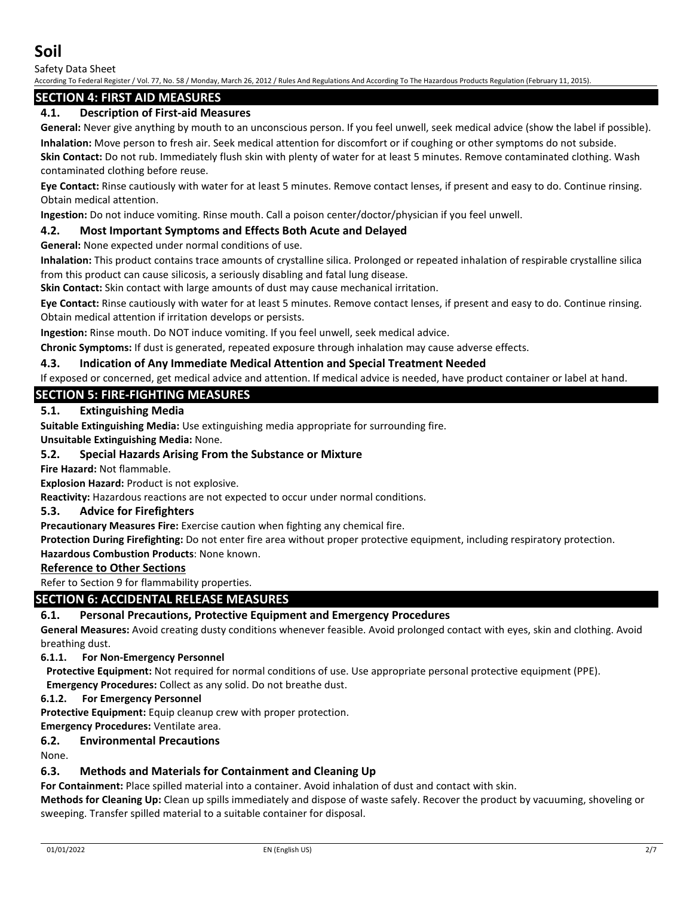Safety Data Sheet

According To Federal Register / Vol. 77, No. 58 / Monday, March 26, 2012 / Rules And Regulations And According To The Hazardous Products Regulation (February 11, 2015).

## **SECTION 4: FIRST AID MEASURES**

## **4.1. Description of First-aid Measures**

**General:** Never give anything by mouth to an unconscious person. If you feel unwell, seek medical advice (show the label if possible). **Inhalation:** Move person to fresh air. Seek medical attention for discomfort or if coughing or other symptoms do not subside.

**Skin Contact:** Do not rub. Immediately flush skin with plenty of water for at least 5 minutes. Remove contaminated clothing. Wash contaminated clothing before reuse.

**Eye Contact:** Rinse cautiously with water for at least 5 minutes. Remove contact lenses, if present and easy to do. Continue rinsing. Obtain medical attention.

**Ingestion:** Do not induce vomiting. Rinse mouth. Call a poison center/doctor/physician if you feel unwell.

#### **4.2. Most Important Symptoms and Effects Both Acute and Delayed**

**General:** None expected under normal conditions of use.

**Inhalation:** This product contains trace amounts of crystalline silica. Prolonged or repeated inhalation of respirable crystalline silica from this product can cause silicosis, a seriously disabling and fatal lung disease.

**Skin Contact:** Skin contact with large amounts of dust may cause mechanical irritation.

**Eye Contact:** Rinse cautiously with water for at least 5 minutes. Remove contact lenses, if present and easy to do. Continue rinsing. Obtain medical attention if irritation develops or persists.

**Ingestion:** Rinse mouth. Do NOT induce vomiting. If you feel unwell, seek medical advice.

**Chronic Symptoms:** If dust is generated, repeated exposure through inhalation may cause adverse effects.

## **4.3. Indication of Any Immediate Medical Attention and Special Treatment Needed**

If exposed or concerned, get medical advice and attention. If medical advice is needed, have product container or label at hand.

## **SECTION 5: FIRE-FIGHTING MEASURES**

## **5.1. Extinguishing Media**

**Suitable Extinguishing Media:** Use extinguishing media appropriate for surrounding fire.

**Unsuitable Extinguishing Media:** None.

## **5.2. Special Hazards Arising From the Substance or Mixture**

**Fire Hazard:** Not flammable.

**Explosion Hazard:** Product is not explosive.

**Reactivity:** Hazardous reactions are not expected to occur under normal conditions.

#### **5.3. Advice for Firefighters**

**Precautionary Measures Fire:** Exercise caution when fighting any chemical fire.

**Protection During Firefighting:** Do not enter fire area without proper protective equipment, including respiratory protection.

**Hazardous Combustion Products**: None known.

#### **Reference to Other Sections**

Refer to Section 9 for flammability properties.

## **SECTION 6: ACCIDENTAL RELEASE MEASURES**

#### **6.1. Personal Precautions, Protective Equipment and Emergency Procedures**

**General Measures:** Avoid creating dusty conditions whenever feasible. Avoid prolonged contact with eyes, skin and clothing. Avoid breathing dust.

#### **6.1.1. For Non-Emergency Personnel**

**Protective Equipment:** Not required for normal conditions of use. Use appropriate personal protective equipment (PPE).

**Emergency Procedures:** Collect as any solid. Do not breathe dust.

#### **6.1.2. For Emergency Personnel**

**Protective Equipment:** Equip cleanup crew with proper protection.

# **Emergency Procedures:** Ventilate area.

**6.2. Environmental Precautions**

None.

#### **6.3. Methods and Materials for Containment and Cleaning Up**

**For Containment:** Place spilled material into a container. Avoid inhalation of dust and contact with skin.

**Methods for Cleaning Up:** Clean up spills immediately and dispose of waste safely. Recover the product by vacuuming, shoveling or sweeping. Transfer spilled material to a suitable container for disposal.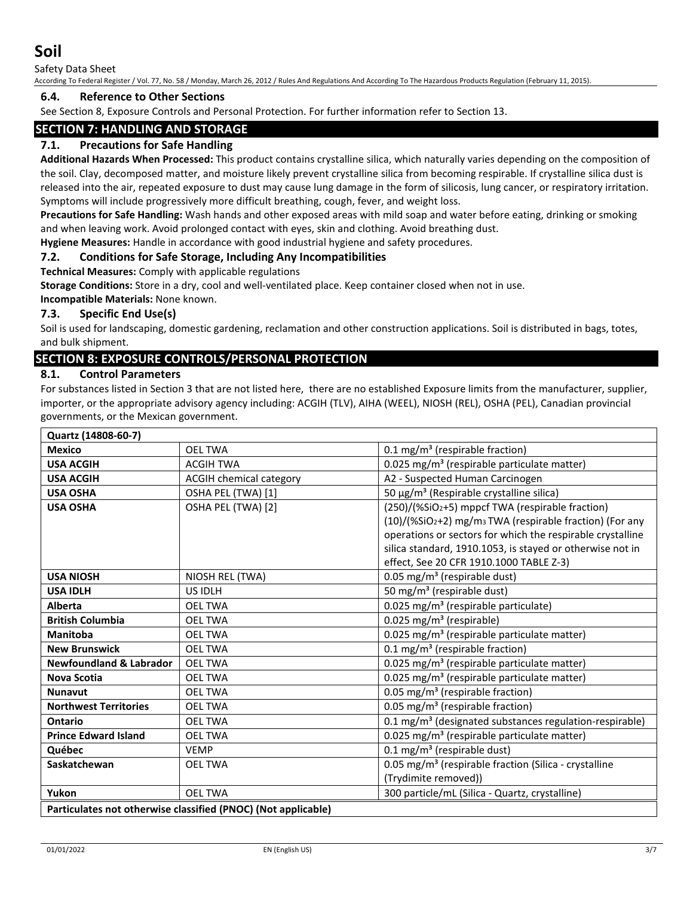Safety Data Sheet

According To Federal Register / Vol. 77, No. 58 / Monday, March 26, 2012 / Rules And Regulations And According To The Hazardous Products Regulation (February 11, 2015).

#### **6.4. Reference to Other Sections**

See Section 8, Exposure Controls and Personal Protection. For further information refer to Section 13.

## **SECTION 7: HANDLING AND STORAGE**

## **7.1. Precautions for Safe Handling**

**Additional Hazards When Processed:** This product contains crystalline silica, which naturally varies depending on the composition of the soil. Clay, decomposed matter, and moisture likely prevent crystalline silica from becoming respirable. If crystalline silica dust is released into the air, repeated exposure to dust may cause lung damage in the form of silicosis, lung cancer, or respiratory irritation. Symptoms will include progressively more difficult breathing, cough, fever, and weight loss.

**Precautions for Safe Handling:** Wash hands and other exposed areas with mild soap and water before eating, drinking or smoking and when leaving work. Avoid prolonged contact with eyes, skin and clothing. Avoid breathing dust.

**Hygiene Measures:** Handle in accordance with good industrial hygiene and safety procedures.

#### **7.2. Conditions for Safe Storage, Including Any Incompatibilities**

**Technical Measures:** Comply with applicable regulations

**Storage Conditions:** Store in a dry, cool and well-ventilated place. Keep container closed when not in use.

**Incompatible Materials:** None known.

#### **7.3. Specific End Use(s)**

Soil is used for landscaping, domestic gardening, reclamation and other construction applications. Soil is distributed in bags, totes, and bulk shipment.

## **SECTION 8: EXPOSURE CONTROLS/PERSONAL PROTECTION**

#### **8.1. Control Parameters**

For substances listed in Section 3 that are not listed here, there are no established Exposure limits from the manufacturer, supplier, importer, or the appropriate advisory agency including: ACGIH (TLV), AIHA (WEEL), NIOSH (REL), OSHA (PEL), Canadian provincial governments, or the Mexican government.

| Quartz (14808-60-7)                                           |                         |                                                                     |  |
|---------------------------------------------------------------|-------------------------|---------------------------------------------------------------------|--|
| <b>Mexico</b>                                                 | <b>OEL TWA</b>          | 0.1 mg/m <sup>3</sup> (respirable fraction)                         |  |
| <b>USA ACGIH</b>                                              | <b>ACGIH TWA</b>        | 0.025 mg/m <sup>3</sup> (respirable particulate matter)             |  |
| <b>USA ACGIH</b>                                              | ACGIH chemical category | A2 - Suspected Human Carcinogen                                     |  |
| <b>USA OSHA</b>                                               | OSHA PEL (TWA) [1]      | 50 $\mu$ g/m <sup>3</sup> (Respirable crystalline silica)           |  |
| <b>USA OSHA</b>                                               | OSHA PEL (TWA) [2]      | (250)/(%SiO2+5) mppcf TWA (respirable fraction)                     |  |
|                                                               |                         | (10)/(%SiO2+2) mg/m <sub>3</sub> TWA (respirable fraction) (For any |  |
|                                                               |                         | operations or sectors for which the respirable crystalline          |  |
|                                                               |                         | silica standard, 1910.1053, is stayed or otherwise not in           |  |
|                                                               |                         | effect, See 20 CFR 1910.1000 TABLE Z-3)                             |  |
| <b>USA NIOSH</b>                                              | NIOSH REL (TWA)         | 0.05 mg/m <sup>3</sup> (respirable dust)                            |  |
| <b>USA IDLH</b>                                               | US IDLH                 | 50 mg/m <sup>3</sup> (respirable dust)                              |  |
| <b>Alberta</b>                                                | <b>OEL TWA</b>          | 0.025 mg/m <sup>3</sup> (respirable particulate)                    |  |
| <b>British Columbia</b>                                       | <b>OEL TWA</b>          | 0.025 mg/m <sup>3</sup> (respirable)                                |  |
| <b>Manitoba</b>                                               | <b>OEL TWA</b>          | 0.025 mg/m <sup>3</sup> (respirable particulate matter)             |  |
| <b>New Brunswick</b>                                          | <b>OEL TWA</b>          | 0.1 mg/m <sup>3</sup> (respirable fraction)                         |  |
| <b>Newfoundland &amp; Labrador</b>                            | <b>OEL TWA</b>          | 0.025 mg/m <sup>3</sup> (respirable particulate matter)             |  |
| <b>Nova Scotia</b>                                            | <b>OEL TWA</b>          | 0.025 mg/m <sup>3</sup> (respirable particulate matter)             |  |
| <b>Nunavut</b>                                                | <b>OEL TWA</b>          | 0.05 mg/m <sup>3</sup> (respirable fraction)                        |  |
| <b>Northwest Territories</b>                                  | <b>OEL TWA</b>          | 0.05 mg/m <sup>3</sup> (respirable fraction)                        |  |
| <b>Ontario</b>                                                | <b>OEL TWA</b>          | 0.1 mg/m <sup>3</sup> (designated substances regulation-respirable) |  |
| <b>Prince Edward Island</b>                                   | <b>OEL TWA</b>          | 0.025 mg/m <sup>3</sup> (respirable particulate matter)             |  |
| Québec                                                        | <b>VEMP</b>             | $0.1 \text{ mg/m}^3$ (respirable dust)                              |  |
| Saskatchewan                                                  | <b>OEL TWA</b>          | 0.05 mg/m <sup>3</sup> (respirable fraction (Silica - crystalline   |  |
|                                                               |                         | (Trydimite removed))                                                |  |
| Yukon                                                         | <b>OEL TWA</b>          | 300 particle/mL (Silica - Quartz, crystalline)                      |  |
| Particulates not otherwise classified (PNOC) (Not applicable) |                         |                                                                     |  |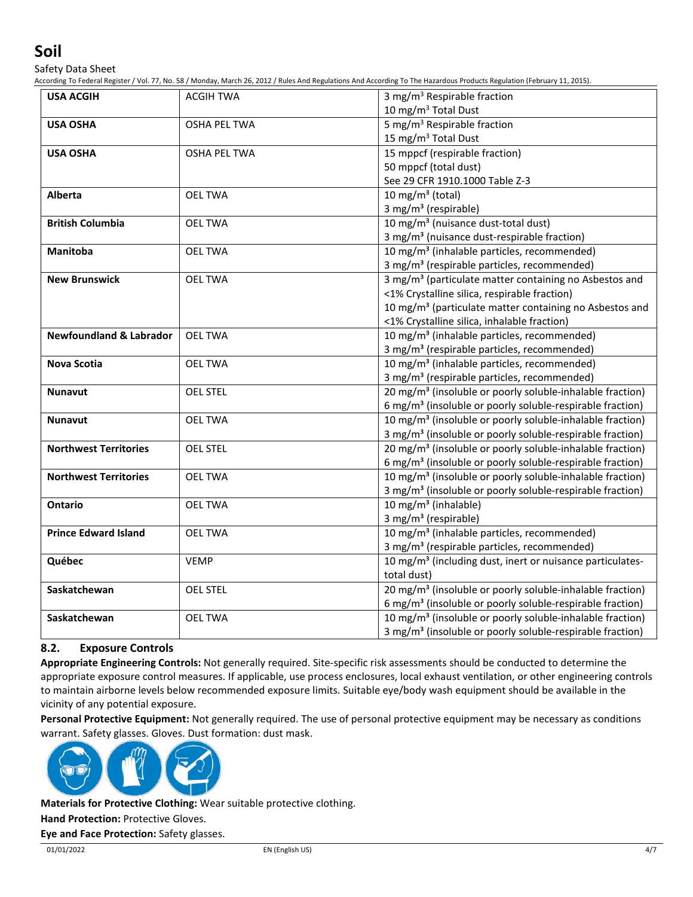Safety Data Sheet

According To Federal Register / Vol. 77, No. 58 / Monday, March 26, 2012 / Rules And Regulations And According To The Hazardous Products Regulation (February 11, 2015).

| <b>USA ACGIH</b>                   | <b>ACGIH TWA</b>    | 3 mg/m <sup>3</sup> Respirable fraction                               |
|------------------------------------|---------------------|-----------------------------------------------------------------------|
|                                    |                     | 10 mg/m <sup>3</sup> Total Dust                                       |
| <b>USA OSHA</b>                    | <b>OSHA PEL TWA</b> | 5 mg/m <sup>3</sup> Respirable fraction                               |
|                                    |                     | 15 mg/m <sup>3</sup> Total Dust                                       |
| <b>USA OSHA</b>                    | <b>OSHA PEL TWA</b> | 15 mppcf (respirable fraction)                                        |
|                                    |                     | 50 mppcf (total dust)                                                 |
|                                    |                     | See 29 CFR 1910.1000 Table Z-3                                        |
| Alberta                            | <b>OEL TWA</b>      | 10 mg/m <sup>3</sup> (total)                                          |
|                                    |                     | 3 mg/m <sup>3</sup> (respirable)                                      |
| <b>British Columbia</b>            | <b>OEL TWA</b>      | 10 mg/m <sup>3</sup> (nuisance dust-total dust)                       |
|                                    |                     | 3 mg/m <sup>3</sup> (nuisance dust-respirable fraction)               |
| <b>Manitoba</b>                    | <b>OEL TWA</b>      | 10 mg/m <sup>3</sup> (inhalable particles, recommended)               |
|                                    |                     | 3 mg/m <sup>3</sup> (respirable particles, recommended)               |
| <b>New Brunswick</b>               | <b>OEL TWA</b>      | 3 mg/m <sup>3</sup> (particulate matter containing no Asbestos and    |
|                                    |                     | <1% Crystalline silica, respirable fraction)                          |
|                                    |                     | 10 mg/m <sup>3</sup> (particulate matter containing no Asbestos and   |
|                                    |                     | <1% Crystalline silica, inhalable fraction)                           |
| <b>Newfoundland &amp; Labrador</b> | <b>OEL TWA</b>      | 10 mg/m <sup>3</sup> (inhalable particles, recommended)               |
|                                    |                     | 3 mg/m <sup>3</sup> (respirable particles, recommended)               |
| <b>Nova Scotia</b>                 | <b>OEL TWA</b>      | 10 mg/m <sup>3</sup> (inhalable particles, recommended)               |
|                                    |                     | 3 mg/m <sup>3</sup> (respirable particles, recommended)               |
| <b>Nunavut</b>                     | <b>OEL STEL</b>     | 20 mg/m <sup>3</sup> (insoluble or poorly soluble-inhalable fraction) |
|                                    |                     | 6 mg/m <sup>3</sup> (insoluble or poorly soluble-respirable fraction) |
| <b>Nunavut</b>                     | <b>OEL TWA</b>      | 10 mg/m <sup>3</sup> (insoluble or poorly soluble-inhalable fraction) |
|                                    |                     | 3 mg/m <sup>3</sup> (insoluble or poorly soluble-respirable fraction) |
| <b>Northwest Territories</b>       | <b>OEL STEL</b>     | 20 mg/m <sup>3</sup> (insoluble or poorly soluble-inhalable fraction) |
|                                    |                     | 6 mg/m <sup>3</sup> (insoluble or poorly soluble-respirable fraction) |
| <b>Northwest Territories</b>       | <b>OEL TWA</b>      | 10 mg/m <sup>3</sup> (insoluble or poorly soluble-inhalable fraction) |
|                                    |                     | 3 mg/m <sup>3</sup> (insoluble or poorly soluble-respirable fraction) |
| <b>Ontario</b>                     | <b>OEL TWA</b>      | 10 mg/m <sup>3</sup> (inhalable)                                      |
|                                    |                     | 3 mg/m <sup>3</sup> (respirable)                                      |
| <b>Prince Edward Island</b>        | <b>OEL TWA</b>      | 10 mg/m <sup>3</sup> (inhalable particles, recommended)               |
|                                    |                     | 3 mg/m <sup>3</sup> (respirable particles, recommended)               |
| Québec                             | <b>VEMP</b>         | 10 mg/m <sup>3</sup> (including dust, inert or nuisance particulates- |
|                                    |                     | total dust)                                                           |
| Saskatchewan                       | <b>OEL STEL</b>     | 20 mg/m <sup>3</sup> (insoluble or poorly soluble-inhalable fraction) |
|                                    |                     | 6 mg/m <sup>3</sup> (insoluble or poorly soluble-respirable fraction) |
| Saskatchewan                       | <b>OEL TWA</b>      | 10 mg/m <sup>3</sup> (insoluble or poorly soluble-inhalable fraction) |
|                                    |                     | 3 mg/m <sup>3</sup> (insoluble or poorly soluble-respirable fraction) |

# **8.2. Exposure Controls**

**Appropriate Engineering Controls:** Not generally required. Site-specific risk assessments should be conducted to determine the appropriate exposure control measures. If applicable, use process enclosures, local exhaust ventilation, or other engineering controls to maintain airborne levels below recommended exposure limits. Suitable eye/body wash equipment should be available in the vicinity of any potential exposure.

**Personal Protective Equipment:** Not generally required. The use of personal protective equipment may be necessary as conditions warrant. Safety glasses. Gloves. Dust formation: dust mask.



**Materials for Protective Clothing:** Wear suitable protective clothing.

**Hand Protection:** Protective Gloves.

**Eye and Face Protection:** Safety glasses.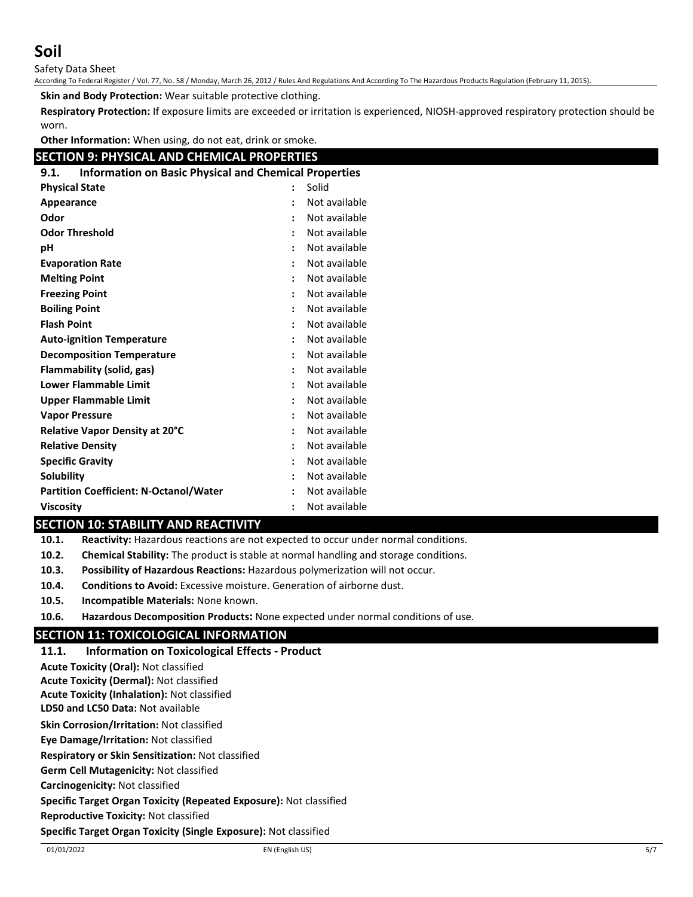Safety Data Sheet

According To Federal Register / Vol. 77, No. 58 / Monday, March 26, 2012 / Rules And Regulations And According To The Hazardous Products Regulation (February 11, 2015).

**Skin and Body Protection:** Wear suitable protective clothing.

**Respiratory Protection:** If exposure limits are exceeded or irritation is experienced, NIOSH-approved respiratory protection should be worn.

**Other Information:** When using, do not eat, drink or smoke.

## **SECTION 9: PHYSICAL AND CHEMICAL PROPERTIES**

| <b>Information on Basic Physical and Chemical Properties</b><br>9.1. |                      |               |
|----------------------------------------------------------------------|----------------------|---------------|
| <b>Physical State</b>                                                |                      | Solid         |
| Appearance                                                           |                      | Not available |
| Odor                                                                 |                      | Not available |
| <b>Odor Threshold</b>                                                | $\ddot{\phantom{a}}$ | Not available |
| рH                                                                   | $\ddot{\cdot}$       | Not available |
| <b>Evaporation Rate</b>                                              | $\ddot{\phantom{a}}$ | Not available |
| <b>Melting Point</b>                                                 | $\ddot{\cdot}$       | Not available |
| <b>Freezing Point</b>                                                | $\ddot{\phantom{a}}$ | Not available |
| <b>Boiling Point</b>                                                 | $\ddot{\phantom{a}}$ | Not available |
| <b>Flash Point</b>                                                   | $\ddot{\phantom{a}}$ | Not available |
| <b>Auto-ignition Temperature</b>                                     |                      | Not available |
| <b>Decomposition Temperature</b>                                     | $\ddot{\phantom{a}}$ | Not available |
| <b>Flammability (solid, gas)</b>                                     |                      | Not available |
| <b>Lower Flammable Limit</b>                                         | $\ddot{\phantom{a}}$ | Not available |
| <b>Upper Flammable Limit</b>                                         | $\ddot{\phantom{a}}$ | Not available |
| <b>Vapor Pressure</b>                                                | $\ddot{\cdot}$       | Not available |
| Relative Vapor Density at 20°C                                       |                      | Not available |
| <b>Relative Density</b>                                              | $\ddot{\phantom{0}}$ | Not available |
| <b>Specific Gravity</b>                                              | $\ddot{\phantom{a}}$ | Not available |
| <b>Solubility</b>                                                    | $\ddot{\phantom{a}}$ | Not available |
| <b>Partition Coefficient: N-Octanol/Water</b>                        | $\ddot{\cdot}$       | Not available |
| Viscosity                                                            |                      | Not available |

## **SECTION 10: STABILITY AND REACTIVITY**

- **10.1. Reactivity:** Hazardous reactions are not expected to occur under normal conditions.
- **10.2. Chemical Stability:** The product is stable at normal handling and storage conditions.
- **10.3. Possibility of Hazardous Reactions:** Hazardous polymerization will not occur.
- **10.4. Conditions to Avoid:** Excessive moisture. Generation of airborne dust.
- **10.5. Incompatible Materials:** None known.
- **10.6. Hazardous Decomposition Products:** None expected under normal conditions of use.

## **SECTION 11: TOXICOLOGICAL INFORMATION**

**11.1. Information on Toxicological Effects - Product LD50 and LC50 Data:** Not available **Skin Corrosion/Irritation:** Not classified **Eye Damage/Irritation:** Not classified **Respiratory or Skin Sensitization:** Not classified **Germ Cell Mutagenicity:** Not classified **Carcinogenicity:** Not classified **Specific Target Organ Toxicity (Repeated Exposure):** Not classified **Reproductive Toxicity:** Not classified **Specific Target Organ Toxicity (Single Exposure):** Not classified **Acute Toxicity (Oral):** Not classified **Acute Toxicity (Dermal):** Not classified **Acute Toxicity (Inhalation):** Not classified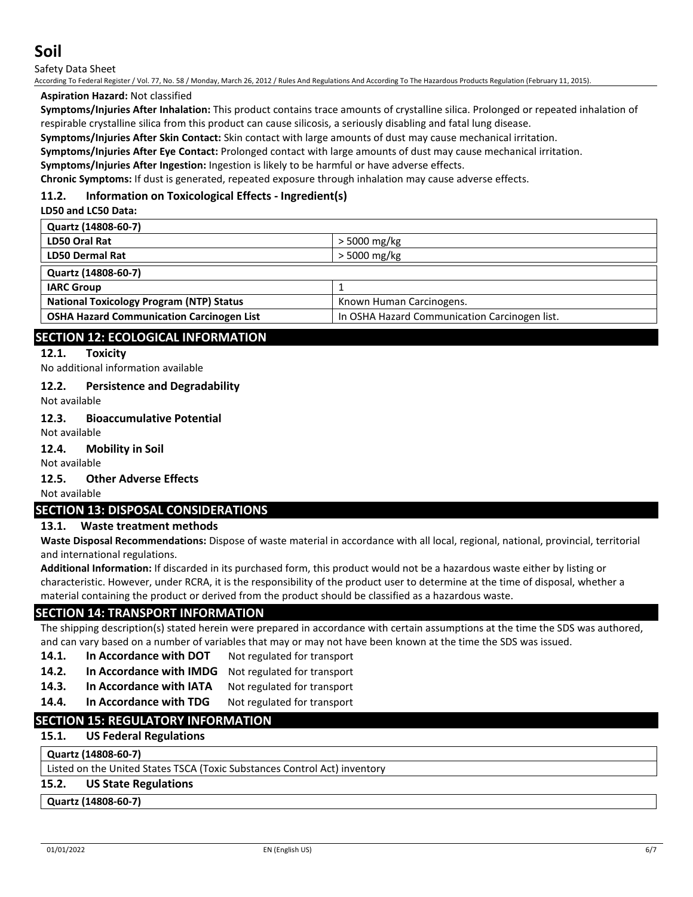Safety Data Sheet

According To Federal Register / Vol. 77, No. 58 / Monday, March 26, 2012 / Rules And Regulations And According To The Hazardous Products Regulation (February 11, 2015).

## **Aspiration Hazard:** Not classified

**Symptoms/Injuries After Inhalation:** This product contains trace amounts of crystalline silica. Prolonged or repeated inhalation of respirable crystalline silica from this product can cause silicosis, a seriously disabling and fatal lung disease.

**Symptoms/Injuries After Skin Contact:** Skin contact with large amounts of dust may cause mechanical irritation.

**Symptoms/Injuries After Eye Contact:** Prolonged contact with large amounts of dust may cause mechanical irritation.

**Symptoms/Injuries After Ingestion:** Ingestion is likely to be harmful or have adverse effects.

**Chronic Symptoms:** If dust is generated, repeated exposure through inhalation may cause adverse effects.

## **11.2. Information on Toxicological Effects - Ingredient(s)**

**LD50 and LC50 Data:**

| Quartz (14808-60-7)                              |                                               |
|--------------------------------------------------|-----------------------------------------------|
| LD50 Oral Rat                                    | > 5000 mg/kg                                  |
| <b>LD50 Dermal Rat</b>                           | > 5000 mg/kg                                  |
| Quartz (14808-60-7)                              |                                               |
| <b>IARC Group</b>                                |                                               |
| <b>National Toxicology Program (NTP) Status</b>  | Known Human Carcinogens.                      |
| <b>OSHA Hazard Communication Carcinogen List</b> | In OSHA Hazard Communication Carcinogen list. |
|                                                  |                                               |

## **SECTION 12: ECOLOGICAL INFORMATION**

#### **12.1. Toxicity**

No additional information available

#### **12.2. Persistence and Degradability**

Not available

#### **12.3. Bioaccumulative Potential**

Not available

#### **12.4. Mobility in Soil**

Not available

#### **12.5. Other Adverse Effects**

Not available

#### **SECTION 13: DISPOSAL CONSIDERATIONS**

#### **13.1. Waste treatment methods**

**Waste Disposal Recommendations:** Dispose of waste material in accordance with all local, regional, national, provincial, territorial and international regulations.

**Additional Information:** If discarded in its purchased form, this product would not be a hazardous waste either by listing or characteristic. However, under RCRA, it is the responsibility of the product user to determine at the time of disposal, whether a material containing the product or derived from the product should be classified as a hazardous waste.

## **SECTION 14: TRANSPORT INFORMATION**

The shipping description(s) stated herein were prepared in accordance with certain assumptions at the time the SDS was authored, and can vary based on a number of variables that may or may not have been known at the time the SDS was issued.

- **14.1. In Accordance with DOT** Not regulated for transport
- 14.2. In Accordance with IMDG Not regulated for transport
- 14.3. In Accordance with IATA Not regulated for transport
- 14.4. In Accordance with TDG Not regulated for transport

## **SECTION 15: REGULATORY INFORMATION**

## **15.1. US Federal Regulations**

## **Quartz (14808-60-7)**

Listed on the United States TSCA (Toxic Substances Control Act) inventory

## **15.2. US State Regulations**

**Quartz (14808-60-7)**